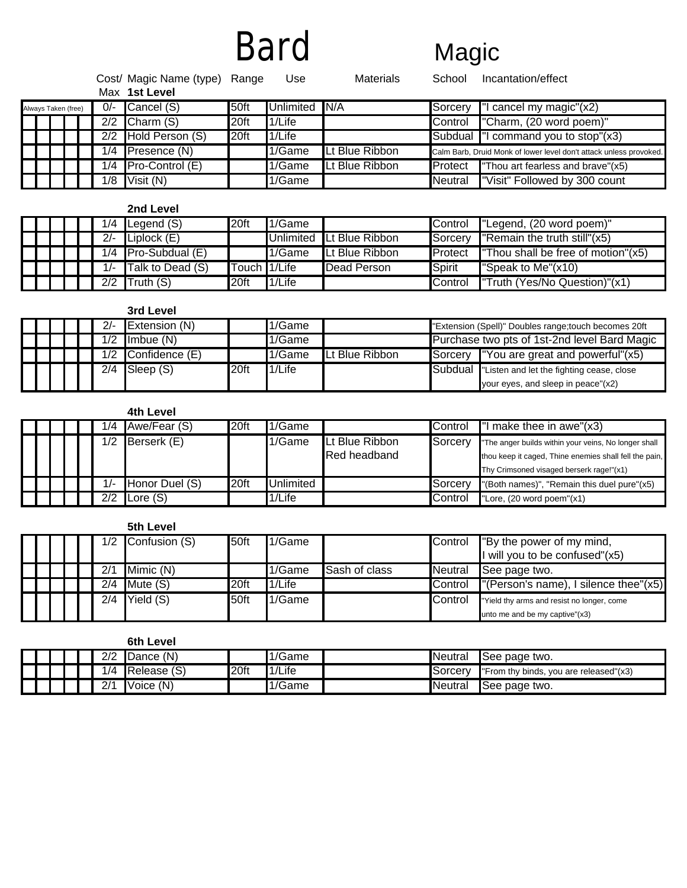# Bard Magic

|                     |       | Cost/ Magic Name (type) Range<br>Max 1st Level |                  | Use              | <b>Materials</b> | School          | Incantation/effect                                                 |
|---------------------|-------|------------------------------------------------|------------------|------------------|------------------|-----------------|--------------------------------------------------------------------|
| Always Taken (free) | $0/-$ | Cancel (S)                                     | 50ft             | <b>Unlimited</b> | N/A              | <b>ISorcerv</b> | "I cancel my magic"(x2)                                            |
|                     | 2/2   | Charm (S)                                      | 20ft             | 1/Life           |                  | <b>Control</b>  | "Charm, (20 word poem)"                                            |
|                     | 2/2   | Hold Person (S)                                | 20 <sup>ft</sup> | 1/Life           |                  |                 | Subdual "I command you to stop"(x3)                                |
|                     | 1/4   | <b>Presence (N)</b>                            |                  | 1/Game           | Lt Blue Ribbon   |                 | Calm Barb, Druid Monk of lower level don't attack unless provoked. |
|                     | 1/4   | $Pro-Control(E)$                               |                  | 1/Game           | Lt Blue Ribbon   | <b>Protect</b>  | "Thou art fearless and brave"(x5)                                  |
|                     | 1/8   | Visit (N)                                      |                  | 1/Game           |                  | <b>Neutral</b>  | "Visit" Followed by 300 count                                      |

**2nd Level**

|  |  |       | $1/4$ Legend (S)      | l20ft          | 1/Game |                          | <b>Control</b>   | "Legend, (20 word poem)"                        |
|--|--|-------|-----------------------|----------------|--------|--------------------------|------------------|-------------------------------------------------|
|  |  | $2/-$ | Liplock $(E)$         |                |        | Unlimited Lt Blue Ribbon | <b>Sorcery</b>   | <b>Properly</b> "Remain the truth still" $(x5)$ |
|  |  |       | $1/4$ Pro-Subdual (E) |                | 1/Game | <b>Lt Blue Ribbon</b>    | <b>I</b> Protect | <b>Thou shall be free of motion"</b> $(x5)$     |
|  |  | $1/-$ | Talk to Dead (S)      | lTouch ∎1/Life |        | Dead Person              | <b>ISpirit</b>   | Speak to Me" $(x10)$                            |
|  |  | 2/2   | Truth (S)             | l20ft          | 1/Life |                          | <b>Control</b>   | Truth (Yes/No Question)"(x1)                    |

|  |  |     | 3rd Level      |      |        |                |         |                                                       |
|--|--|-----|----------------|------|--------|----------------|---------|-------------------------------------------------------|
|  |  | 2/- | Extension (N)  |      | 1/Game |                |         | "Extension (Spell)" Doubles range; touch becomes 20ft |
|  |  | 1/2 | Imbue $(N)$    |      | 1/Game |                |         | Purchase two pts of 1st-2nd level Bard Magic          |
|  |  | 1/2 | Confidence (E) |      | 1/Game | Lt Blue Ribbon |         | Sorcery "You are great and powerful"(x5)              |
|  |  | 2/4 | Sleep (S)      | 20ft | 1/Life |                | Subdual | Listen and let the fighting cease, close              |
|  |  |     |                |      |        |                |         | your eyes, and sleep in peace"(x2)                    |

# **4th Level**

|  |  | /4  | Awe/Fear (S)   | 20ft             | 1/Game           |                        | <b>Control</b> | $\blacksquare$ make thee in awe"(x3)                   |
|--|--|-----|----------------|------------------|------------------|------------------------|----------------|--------------------------------------------------------|
|  |  | /2  | Berserk (E)    |                  | 1/Game           | <b>ILt Blue Ribbon</b> | Sorcery        | "The anger builds within your veins, No longer shall   |
|  |  |     |                |                  |                  | Red headband           |                | thou keep it caged, Thine enemies shall fell the pain, |
|  |  |     |                |                  |                  |                        |                | Thy Crimsoned visaged berserk rage!"(x1)               |
|  |  |     | Honor Duel (S) | 20 <sup>ft</sup> | <b>Jnlimited</b> |                        | <b>Sorcerv</b> | "(Both names)", "Remain this duel pure"(x5)            |
|  |  | 2/2 | Lore $(S)$     |                  | 1/Life           |                        | <b>Control</b> | "Lore, (20 word poem"(x1)                              |

#### **5th Level**

|  |  | 1/2 | Confusion (S) | 50ft | 1/Game |                      | Control | "By the power of my mind,<br>I will you to be confused"(x5) |
|--|--|-----|---------------|------|--------|----------------------|---------|-------------------------------------------------------------|
|  |  |     | Mimic (N)     |      | 1/Game | <b>Sash of class</b> | Neutral | See page two.                                               |
|  |  | 2/4 | Mute $(S)$    | 20ft | 1/Life |                      | Control | $\lceil$ "(Person's name), I silence thee"(x5)              |
|  |  | 2/4 | Yield (S)     | 50ft | 1/Game |                      | Control | "Yield thy arms and resist no longer, come                  |
|  |  |     |               |      |        |                      |         | unto me and be my captive"(x3)                              |

**6th Level**

|  |  | $\sim$<br>∠∣∠    | Dance (N)   |                  | 1/Game | <b>Neutral</b>  | See page two.                          |
|--|--|------------------|-------------|------------------|--------|-----------------|----------------------------------------|
|  |  | /4               | Release (S) | 20 <sub>ft</sub> | 1/Life | <b>ISorcery</b> | "From thy binds, you are released"(x3) |
|  |  | $\Omega$ /4<br>∠ | Voice (N)   |                  | 1/Game | <b>Neutral</b>  | See page two.                          |